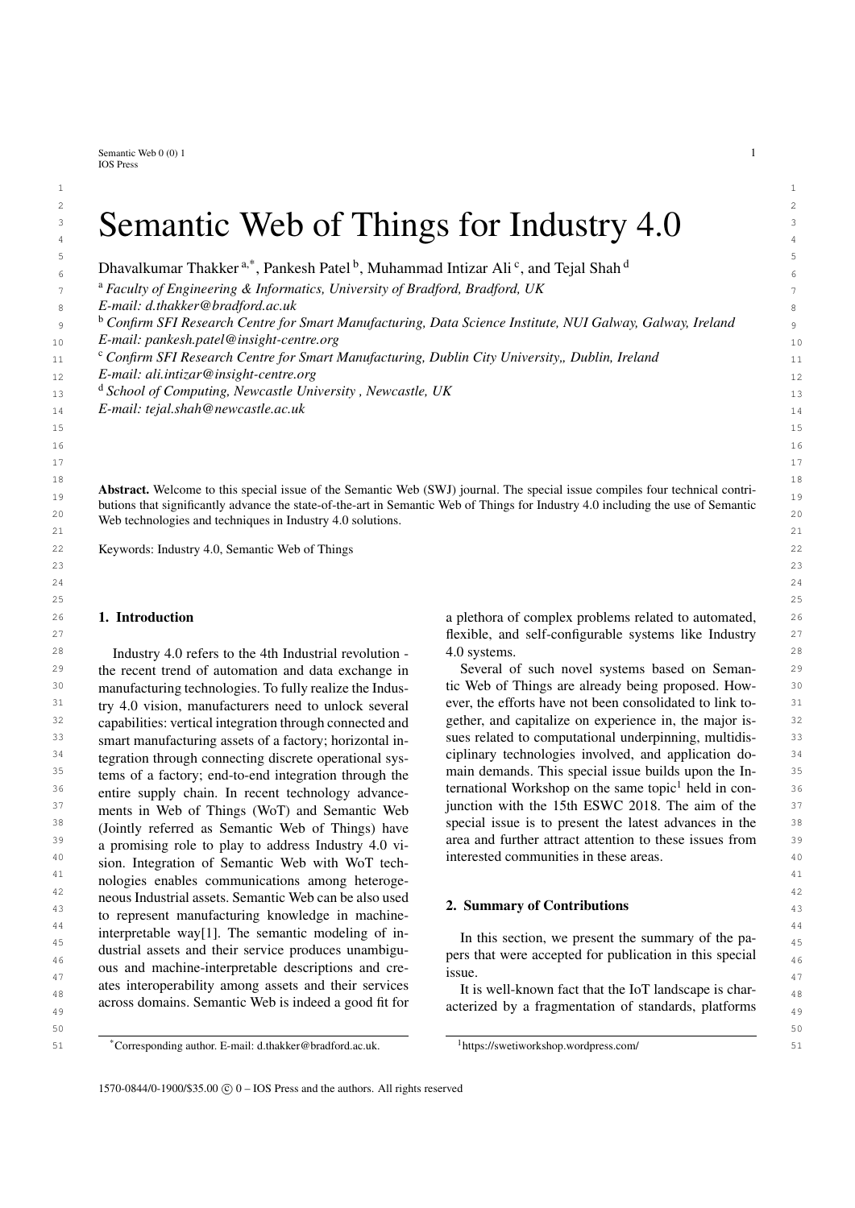Semantic Web  $0(0)$  1 1 IOS Press

## $2 \times 2$  $\frac{3}{2}$  Semantic Web of Things for Industry  $\frac{1}{2}$  11  $\frac{3}{2}$ <sup>3</sup> Semantic Web of Things for Industry 4.0

 $\sim$  5  $\frac{1}{6}$  $\frac{1}{6}$  $\frac{1}{6}$  Dhavalkumar Thakker<sup>[a,](#page-0-0)[\\*](#page-0-1)</sup>, Pankesh Patel <sup>[b](#page-0-2)</sup>, Muhamma[d](#page-0-4) Intizar Ali<sup>c</sup>, and Tejal Shah<sup>d</sup>

7 7 <sup>a</sup> *Faculty of Engineering & Informatics, University of Bradford, Bradford, UK*

8 8 *E-mail: [d.thakker@bradford.ac.uk](mailto:d.thakker@bradford.ac.uk)*

<span id="page-0-2"></span>9 9 <sup>b</sup> *Confirm SFI Research Centre for Smart Manufacturing, Data Science Institute, NUI Galway, Galway, Ireland*

10 10 *E-mail: [pankesh.patel@insight-centre.org](mailto:pankesh.patel@insight-centre.org)*

<span id="page-0-3"></span><sup>c</sup> Confirm SFI Research Centre for Smart Manufacturing, Dublin City University,, Dublin, Ireland

12 12 *E-mail: [ali.intizar@insight-centre.org](mailto:ali.intizar@insight-centre.org)*

<span id="page-0-4"></span>13 13 <sup>d</sup> *School of Computing, Newcastle University , Newcastle, UK*

14 14 *E-mail: [tejal.shah@newcastle.ac.uk](mailto:tejal.shah@newcastle.ac.uk)*

19 **Abstract.** Welcome to this special issue of the Semantic Web (SWJ) journal. The special issue compiles four technical contributions that significantly advance the state-of-the-art in Semantic Web of Things for Industry 4.0 including the use of Semantic  $\frac{20}{20}$ 21  $\sim$  21 Web technologies and techniques in Industry 4.0 solutions.

22 22 Keywords: Industry 4.0, Semantic Web of Things

## 1. Introduction

<sup>28</sup> 11 Industry 4.0 refers to the 4th Industrial revolution - 4.0 systems. <sup>29</sup> the recent trend of automation and data exchange in Several of such novel systems based on Seman-<sup>30</sup> manufacturing technologies. To fully realize the Indus-<br><sup>30</sup> manufacturing technologies. To fully realize the Indus-<sup>31</sup> try 4.0 vision, manufacturers need to unlock several ever, the efforts have not been consolidated to link to-32 capabilities: vertical integration through connected and gether, and capitalize on experience in, the major is-<sup>33</sup> smart manufacturing assets of a factory: horizontal in-<br><sup>33</sup> smart manufacturing assets of a factory: horizontal in-<sup>34</sup> tegration through connecting discrete operational sys- ciplinary technologies involved, and application do-<sup>35</sup> tems of a factory: end-to-end integration through the main demands. This special issue builds upon the In- $36$  entire supply chain. In recent technology advance-<br> $36$  ternational Workshop on the same topic<sup>[1](#page-0-5)</sup> held in con- $\frac{37}{100}$  ments in Web of Things (WoT) and Semantic Web junction with the 15th ESWC 2018. The aim of the  $\frac{37}{100}$ <sup>38</sup> (Lointly referred as Semantic Web of Things) have special issue is to present the latest advances in the <sup>38</sup>  $\frac{39}{9}$  a promising role to play to address Industry 4.0 yi. area and further attract attention to these issues from  $\frac{39}{9}$ <sup>40</sup> sion Integration of Semantic Web with WoT tech-<br><sup>40</sup> sion Integration of Semantic Web with WoT tech-<br><sup>40</sup> 41 41 nologies enables communications among heteroge-<sup>42</sup> neous Industrial assets. Semantic Web can be also used  $\frac{43}{10}$  to represent manufacturing knowledge in machine-<br> $\frac{2.5 \text{ summary of contributions}}{10}$  $\frac{44}{1}$  interpretable way[\[1\]](#page-1-0). The semantic modeling of in-<br> $\frac{44}{1}$  in this section we present the summary of the pa-Interpretable way [1]. The semantic modeling of  $\ln$  In this section, we present the summary of the paquistrial assets and their service produces unambigu-<br>  $\frac{46}{46}$  pers that were accepted for publication in this special  $\frac{46}{46}$ <sup>47</sup> ates interoperability among assets and their services and their services and their services and their services the services and their services and their services the services of the services and their services and the ates interoperability among assets and their services  $\frac{1}{8}$  It is well-known fact that the IoT landscape is char- $49$  across domains. Semantic Web is indeed a good fit for acterized by a fragmentation of standards, platforms  $49$ the recent trend of automation and data exchange in manufacturing technologies. To fully realize the Industry 4.0 vision, manufacturers need to unlock several capabilities: vertical integration through connected and smart manufacturing assets of a factory; horizontal integration through connecting discrete operational systems of a factory; end-to-end integration through the entire supply chain. In recent technology advancements in Web of Things (WoT) and Semantic Web (Jointly referred as Semantic Web of Things) have a promising role to play to address Industry 4.0 vision. Integration of Semantic Web with WoT techdustrial assets and their service produces unambiguous and machine-interpretable descriptions and creacross domains. Semantic Web is indeed a good fit for

26 26 a plethora of complex problems related to automated, 27 27 flexible, and self-configurable systems like Industry 4.0 systems.

<span id="page-0-0"></span>

## 2. Summary of Contributions

issue.

<span id="page-0-5"></span><sup>1</sup>https://swetiworkshop.wordpress.com/

 $50$ 

<span id="page-0-1"></span><sup>51</sup> 51 \*Corresponding author. E-mail: [d.thakker@bradford.ac.uk.](mailto:d.thakker@bradford.ac.uk)